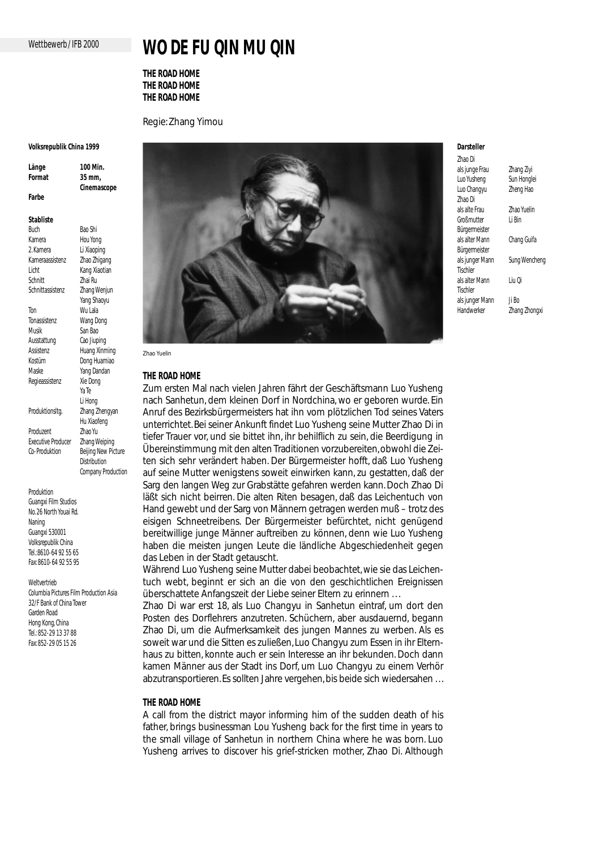## Wettbewerb / IFB 2000

# **WO DE FU QIN MU QIN**

**THE ROAD HOME THE ROAD HOME THE ROAD HOME**

Regie: Zhang Yimou

#### **Volksrepublik China 1999**

**Länge 100 Min. Format 35 mm, Cinemascope Farbe**

**Stabliste**

Buch Bao Shi Kamera Hou Yong<br>2 Kamera Li Xiaonin Li Xiaoping Kameraassistenz Zhao Zhigang Licht Kang Xiaotian Schnitt Zhai Ru Schnittassistenz Zhang Wenjun Yang Shaoyu Ton Wu Lala Tonassistenz Wang Dong Musik San Bao<br>Ausstattung Cao liupi Cao Jiuping Assistenz Huang Xinming Kostüm Dong Huamiao Maske Yang Dandan Regieassistenz Xie Dong Ya Te Li Hong Produktionsltg. Zhang Zhengyan Hu Xiaofeng Produzent Zhao Yu Executive Producer Zhang Weiping Co-Produktion Beijing New Picture **Distribution** Company Production

Produktion Guangxi Film Studios No. 26 North Youai Rd. Naning Guangxi 530001 Volksrepublik China Tel.:8610-64 92 55 65 Fax: 8610-64 92 55 95

Weltvertrieb Columbia Pictures Film Production Asia 32/F Bank of China Tower Garden Road Hong Kong, China Tel.: 852-29 13 37 88 Fax: 852-29 05 15 26



**THE ROAD HOME**

Zum ersten Mal nach vielen Jahren fährt der Geschäftsmann Luo Yusheng nach Sanhetun, dem kleinen Dorf in Nordchina, wo er geboren wurde. Ein Anruf des Bezirksbürgermeisters hat ihn vom plötzlichen Tod seines Vaters unterrichtet. Bei seiner Ankunft findet Luo Yusheng seine Mutter Zhao Di in tiefer Trauer vor, und sie bittet ihn, ihr behilflich zu sein, die Beerdigung in Übereinstimmung mit den alten Traditionen vorzubereiten, obwohl die Zeiten sich sehr verändert haben. Der Bürgermeister hofft, daß Luo Yusheng auf seine Mutter wenigstens soweit einwirken kann, zu gestatten, daß der Sarg den langen Weg zur Grabstätte gefahren werden kann. Doch Zhao Di läßt sich nicht beirren. Die alten Riten besagen, daß das Leichentuch von Hand gewebt und der Sarg von Männern getragen werden muß – trotz des eisigen Schneetreibens. Der Bürgermeister befürchtet, nicht genügend bereitwillige junge Männer auftreiben zu können, denn wie Luo Yusheng haben die meisten jungen Leute die ländliche Abgeschiedenheit gegen das Leben in der Stadt getauscht.

Während Luo Yusheng seine Mutter dabei beobachtet, wie sie das Leichentuch webt, beginnt er sich an die von den geschichtlichen Ereignissen überschattete Anfangszeit der Liebe seiner Eltern zu erinnern . . .

Zhao Di war erst 18, als Luo Changyu in Sanhetun eintraf, um dort den Posten des Dorflehrers anzutreten. Schüchern, aber ausdauernd, begann Zhao Di, um die Aufmerksamkeit des jungen Mannes zu werben. Als es soweit war und die Sitten es zuließen, Luo Changyu zum Essen in ihr Elternhaus zu bitten, konnte auch er sein Interesse an ihr bekunden. Doch dann kamen Männer aus der Stadt ins Dorf, um Luo Changyu zu einem Verhör abzutransportieren. Es sollten Jahre vergehen, bis beide sich wiedersahen . . .

## **THE ROAD HOME**

A call from the district mayor informing him of the sudden death of his father, brings businessman Lou Yusheng back for the first time in years to the small village of Sanhetun in northern China where he was born. Luo Yusheng arrives to discover his grief-stricken mother, Zhao Di. Although

#### **Darsteller** Zhao Di

Tischler

**Tischler** 

als junge Frau Zhang Ziyi Luo Yusheng Sun Honglei Luo Changyu Zheng Hao Zhao Di Zhao Yuelin<br>Li Rin Großmutter Bürgermeister als alter Mann Chang Guifa Bürgermeister als junger Mann Sung Wencheng als alter Mann Liu Qi als junger Mann Ji Bo Handwerker Zhang Zhongxi